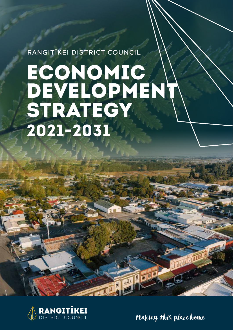RANGITĪKEI DISTRICT COUNCIL

# ECONOMIC DEVELOPMENT STRATEGY 2021-2031



Making this place home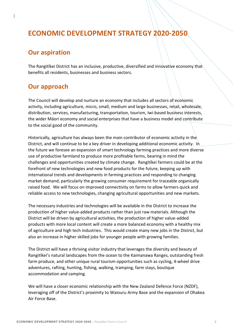# **ECONOMIC DEVELOPMENT STRATEGY 2020-2050**

# **Our aspiration**

The Rangitīkei District has an inclusive, productive, diversified and innovative economy that benefits all residents, businesses and business sectors.

# **Our approach**

The Council will develop and nurture an economy that includes all sectors of economic activity, including agriculture, micro, small, medium and large businesses, retail, wholesale, distribution, services, manufacturing, transportation, tourism, Iwi-based business interests, the wider Māori economy and social enterprises that have a business model and contribute to the social good of the community.

Historically, agriculture has always been the main contributor of economic activity in the District, and will continue to be a key driver in developing additional economic activity. In the future we foresee an expansion of smart technology farming practices and more diverse use of productive farmland to produce more profitable farms, bearing in mind the challenges and opportunities created by climate change. Rangitīkei farmers could be at the forefront of new technologies and new food products for the future, keeping up with international trends and developments in farming practices and responding to changing market demand, particularly the growing consumer requirement for traceable organically raised food. We will focus on improved connectivity on farms to allow farmers quick and reliable access to new technologies, changing agricultural opportunities and new markets.

The necessary industries and technologies will be available in the District to increase the production of higher value-added products rather than just raw materials. Although the District will be driven by agricultural activities, the production of higher value-added products with more local content will create a more balanced economy with a healthy mix of agriculture and high tech industries. This would create many new jobs in the District, but also an increase in higher skilled jobs for younger people with growing families.

The District will have a thriving visitor industry that leverages the diversity and beauty of Rangitīkei's natural landscapes from the ocean to the Kaimanawa Ranges, outstanding fresh farm produce, and other unique rural tourism opportunities such as cycling, 4-wheel drive adventures, rafting, hunting, fishing, walking, tramping, farm stays, boutique accommodation and camping.

We will have a closer economic relationship with the New Zealand Defence Force (NZDF), leveraging off of the District's proximity to Waiouru Army Base and the expansion of Ohakea Air Force Base.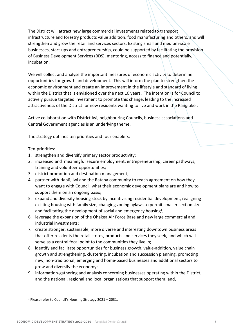The District will attract new large commercial investments related to transport infrastructure and forestry products value addition, food manufacturing and others, and will strengthen and grow the retail and services sectors. Existing small and medium-scale businesses, start-ups and entrepreneurship, could be supported by facilitating the provision of Business Development Services (BDS), mentoring, access to finance and potentially, incubation.

We will collect and analyse the important measures of economic activity to determine opportunities for growth and development. This will inform the plan to strengthen the economic environment and create an improvement in the lifestyle and standard of living within the District that is envisioned over the next 10 years. The intention is for Council to actively pursue targeted investment to promote this change, leading to the increased attractiveness of the District for new residents wanting to live and work in the Rangitīkei.

Active collaboration with District Iwi, neighbouring Councils, business associations and Central Government agencies is an underlying theme.

The strategy outlines ten priorities and four enablers:

#### Ten-priorities:

- 1. strengthen and diversify primary sector productivity;
- 2. increased and -meaningful secure employment, entrepreneurship, career pathways, training and volunteer opportunities;
- 3. district promotion and destination management;
- 4. partner with Hapū, Iwi and the Ratana community to reach agreement on how they want to engage with Council, what their economic development plans are and how to support them on an ongoing basis;
- 5. expand and diversify housing stock by incentivising residential development, realigning existing housing with family size, changing zoning bylaws to permit smaller section size and facilitating the development of social and emergency housing<sup>1</sup>;
- 6. leverage the expansion of the Ohakea Air Force Base and new large commercial and industrial investments;
- 7. create stronger, sustainable, more diverse and interesting downtown business areas that offer residents the retail stores, products and services they seek, and which will serve as a central focal point to the communities they live in;
- 8. identify and facilitate opportunities for business growth, value-addition, value chain growth and strengthening, clustering, incubation and succession planning, promoting new, non-traditional, emerging and home-based businesses and additional sectors to grow and diversify the economy;
- 9. information-gathering and analysis concerning businesses operating within the District, and the national, regional and local organisations that support them; and,

<sup>1</sup> Please refer to Council's Housing Strategy 2021 – 2031.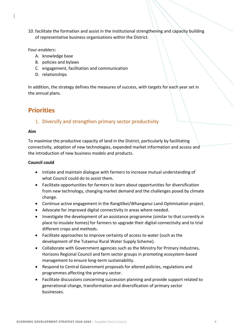10. facilitate the formation and assist in the institutional strengthening and capacity building of representative business organisations within the District.

#### Four-enablers:

- A. knowledge base
- B. policies and bylaws
- C. engagement, facilitation and communication
- D. relationships

In addition, the strategy defines the measures of success, with targets for each year set in the annual plans.

# **Priorities**

### 1. Diversify and strengthen primary sector productivity

#### **Aim**

To maximise the productive capacity of land in the District, particularly by facilitating connectivity, adoption of new technologies, expanded market information and access and the introduction of new business models and products.

- Initiate and maintain dialogue with farmers to increase mutual understanding of what Council could do to assist them.
- Facilitate opportunities for farmers to learn about opportunities for diversification from new technology, changing market demand and the challenges posed by climate change.
- Continue active engagement in the Rangitīkei/Whanganui Land Optimisation project.
- Advocate for improved digital connectivity in areas where needed.
- Investigate the development of an assistance programme (similar to that currently in place to insulate homes) for farmers to upgrade their digital connectivity and to trial different crops and methods.
- Facilitate approaches to improve certainty of access to water (such as the development of the Tutaenui Rural Water Supply Scheme).
- Collaborate with Government agencies such as the Ministry for Primary Industries, Horizons Regional Council and farm sector groups in promoting ecosystem-based management to ensure long-term sustainability.
- Respond to Central Government proposals for altered policies, regulations and programmes affecting the primary sector.
- Facilitate discussions concerning succession planning and provide support related to generational change, transformation and diversification of primary sector businesses.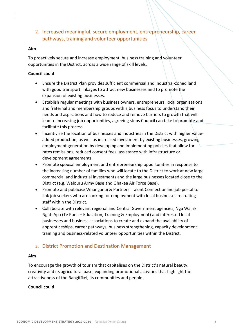2. Increased meaningful, secure employment, entrepreneurship, career pathways, training and volunteer opportunities

#### **Aim**

To proactively secure and increase employment, business training and volunteer opportunities in the District, across a wide range of skill levels.

#### **Council could**

- Ensure the District Plan provides sufficient commercial and industrial-zoned land with good transport linkages to attract new businesses and to promote the expansion of existing businesses.
- Establish regular meetings with business owners, entrepreneurs, local organisations and fraternal and membership groups with a business focus to understand their needs and aspirations and how to reduce and remove barriers to growth that will lead to increasing job opportunities, agreeing steps Council can take to promote and facilitate this process.
- Incentivise the location of businesses and industries in the District with higher valueadded production, as well as increased investment by existing businesses, growing employment generation by developing and implementing policies that allow for rates remissions, reduced consent fees, assistance with infrastructure or development agreements.
- Promote spousal employment and entrepreneurship opportunities in response to the increasing number of families who will locate to the District to work at new large commercial and industrial investments and the large businesses located close to the District (e.g. Waiouru Army Base and Ohakea Air Force Base).
- Promote and publicise Whanganui & Partners' Talent Connect online job portal to link job seekers who are looking for employment with local businesses recruiting staff within the District.
- Collaborate with relevant regional and Central Government agencies, Ngā Wairiki Ngāti Apa (Te Puna – Education, Training & Employment) and interested local businesses and business associations to create and expand the availability of apprenticeships, career pathways, business strengthening, capacity development training and business-related volunteer opportunities within the District.

#### **3.** District Promotion and Destination Management

#### **Aim**

To encourage the growth of tourism that capitalises on the District's natural beauty, creativity and its agricultural base, expanding promotional activities that highlight the attractiveness of the Rangitīkei, its communities and people.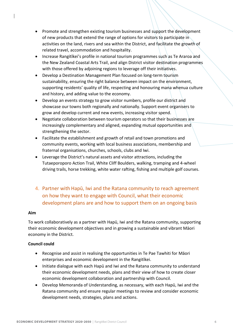- Promote and strengthen existing tourism businesses and support the development of new products that extend the range of options for visitors to participate in activities on the land, rivers and sea within the District, and facilitate the growth of related travel, accommodation and hospitality.
- Increase Rangitīkei's profile in national tourism programmes such as Te Araroa and the New Zealand Coastal Arts Trail, and align District visitor destination programmes with those offered by adjoining regions to leverage off their initiatives.
- Develop a Destination Management Plan focused on long-term tourism sustainability, ensuring the right balance between impact on the environment, supporting residents' quality of life, respecting and honouring mana whenua culture and history, and adding value to the economy.
- Develop an events strategy to grow visitor numbers, profile our district and showcase our towns both regionally and nationally. Support event organisers to grow and develop current and new events, increasing visitor spend.
- Negotiate collaboration between tourism operators so that their businesses are increasingly complementary and aligned, expanding mutual opportunities and strengthening the sector.
- Facilitate the establishment and growth of retail and town promotions and community events, working with local business associations, membership and fraternal organisations, churches, schools, clubs and Iwi.
- Leverage the District's natural assets and visitor attractions, including the Tutaeporoporo Action Trail, White Cliff Boulders, walking, tramping and 4-wheel driving trails, horse trekking, white water rafting, fishing and multiple golf courses.
- 4. Partner with Hapū, Iwi and the Ratana community to reach agreement on how they want to engage with Council, what their economic development plans are and how to support them on an ongoing basis

#### **Aim**

To work collaboratively as a partner with Hapū, Iwi and the Ratana community, supporting their economic development objectives and in growing a sustainable and vibrant Māori economy in the District.

- Recognise and assist in realising the opportunities in Te Pae Tawhiti for Māori enterprises and economic development in the Rangitīkei.
- Initiate dialogue with each Hapū and Iwi and the Ratana community to understand their economic development needs, plans and their view of how to create closer economic development collaboration and partnership with Council.
- Develop Memoranda of Understanding, as necessary, with each Hapū, Iwi and the Ratana community and ensure regular meetings to review and consider economic development needs, strategies, plans and actions.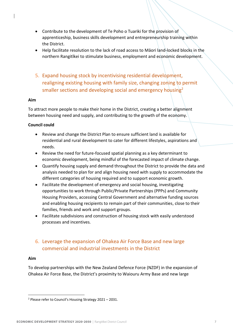- Contribute to the development of Te Poho o Tuariki for the provision of apprenticeship, business skills development and entrepreneurship training within the District.
- Help facilitate resolution to the lack of road access to Māori land-locked blocks in the northern Rangitīkei to stimulate business, employment and economic development.
- 5. Expand housing stock by incentivising residential development, realigning existing housing with family size, changing zoning to permit smaller sections and developing social and emergency housing<sup>2</sup>

#### **Aim**

To attract more people to make their home in the District, creating a better alignment between housing need and supply, and contributing to the growth of the economy.

#### **Council could**

- Review and change the District Plan to ensure sufficient land is available for residential and rural development to cater for different lifestyles, aspirations and needs.
- Review the need for future-focused spatial planning as a key determinant to economic development, being mindful of the forecasted impact of climate change.
- Quantify housing supply and demand throughout the District to provide the data and analysis needed to plan for and align housing need with supply to accommodate the different categories of housing required and to support economic growth.
- Facilitate the development of emergency and social housing, investigating opportunities to work through Public/Private Partnerships (PPPs) and Community Housing Providers, accessing Central Government and alternative funding sources and enabling housing recipients to remain part of their communities, close to their families, friends and work and support groups.
- Facilitate subdivisions and construction of housing stock with easily understood processes and incentives.

## 6. Leverage the expansion of Ohakea Air Force Base and new large commercial and industrial investments in the District

#### **Aim**

To develop partnerships with the New Zealand Defence Force (NZDF) in the expansion of Ohakea Air Force Base, the District's proximity to Waiouru Army Base and new large

<sup>2</sup> Please refer to Council's Housing Strategy 2021 – 2031.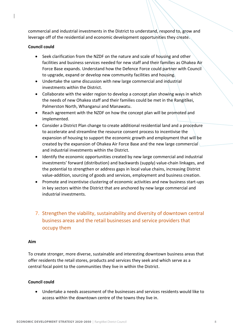commercial and industrial investments in the District to understand, respond to, grow and leverage off of the residential and economic development opportunities they create.

#### **Council could**

- Seek clarification from the NZDF on the nature and scale of housing and other facilities and business services needed for new staff and their families as Ohakea Air Force Base expands. Understand how the Defence Force could partner with Council to upgrade, expand or develop new community facilities and housing.
- Undertake the same discussion with new large commercial and industrial investments within the District.
- Collaborate with the wider region to develop a concept plan showing ways in which the needs of new Ohakea staff and their families could be met in the Rangitīkei, Palmerston North, Whanganui and Manawatu.
- Reach agreement with the NZDF on how the concept plan will be promoted and implemented.
- Consider a District Plan change to create additional residential land and a procedure to accelerate and streamline the resource consent process to incentivise the expansion of housing to support the economic growth and employment that will be created by the expansion of Ohakea Air Force Base and the new large commercial and industrial investments within the District.
- Identify the economic opportunities created by new large commercial and industrial investments' forward (distribution) and backwards (supply) value-chain linkages, and the potential to strengthen or address gaps in local value chains, increasing District value-addition, sourcing of goods and services, employment and business creation.
- Promote and incentivise clustering of economic activities and new business start-ups in key sectors within the District that are anchored by new large commercial and industrial investments.
- 7. Strengthen the viability, sustainability and diversity of downtown central business areas and the retail businesses and service providers that occupy them

#### **Aim**

To create stronger, more diverse, sustainable and interesting downtown business areas that offer residents the retail stores, products and services they seek and which serve as a central focal point to the communities they live in within the District.

#### **Council could**

• Undertake a needs assessment of the businesses and services residents would like to access within the downtown centre of the towns they live in.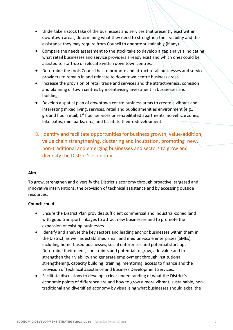- Undertake a stock take of the businesses and services that presently exist within downtown areas, determining what they need to strengthen their viability and the assistance they may require from Council to operate sustainably (if any).
- Compare the needs assessment to the stock take to develop a gap analysis indicating what retail businesses and service providers already exist and which ones could be assisted to start-up or relocate within downtown centres.
- Determine the tools Council has to promote and attract retail businesses and service providers to remain in and relocate to downtown centre business areas.
- Increase the provision of retail trade and services and the attractiveness, cohesion and planning of town centres by incentivising investment in businesses and buildings.
- Develop a spatial plan of downtown centre business areas to create a vibrant and interesting mixed living, services, retail and public amenities environment (e.g., ground floor retail, 1<sup>st</sup> floor services or rehabilitated apartments, no vehicle zones, bike paths, mini parks, etc.) and facilitate their redevelopment.
- 8. Identify and facilitate opportunities for business growth, value-addition, value chain strengthening, clustering and incubation, promoting new, non-traditional and emerging businesses and sectors to grow and diversify the District's economy

#### **Aim**

To grow, strengthen and diversify the District's economy through proactive, targeted and innovative interventions, the provision of technical assistance and by accessing outside resources.

- Ensure the District Plan provides sufficient commercial and industrial-zoned land with good transport linkages to attract new businesses and to promote the expansion of existing businesses.
- Identify and analyse the key sectors and leading anchor businesses within them in the District, as well as established small and medium-scale enterprises (SMEs), including home-based businesses, social enterprises and potential start-ups. Determine their needs, constraints and potential to grow, add value and to strengthen their viability and generate employment through institutional strengthening, capacity building, training, mentoring, access to finance and the provision of technical assistance and Business Development Services.
- Facilitate discussions to develop a clear understanding of what the District's economic points of difference are and how to grow a more vibrant, sustainable, nontraditional and diversified economy by visualising what businesses should exist, the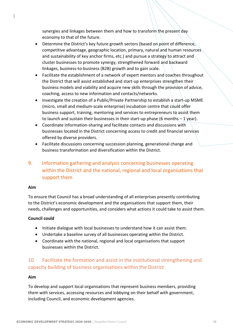synergies and linkages between them and how to transform the present day economy to that of the future.

- Determine the District's key future growth sectors (based on point of difference, competitive advantage, geographic location, primary, natural and human resources and sustainability of key anchor firms, etc.) and pursue a strategy to attract and cluster businesses to promote synergy, strengthened forward and backward linkages, business-to-business (B2B) growth and to gain scale.
- Facilitate the establishment of a network of expert mentors and coaches throughout the District that will assist established and start-up enterprises strengthen their business models and viability and acquire new skills through the provision of advice, coaching, access to new information and contacts/networks.
- Investigate the creation of a Public/Private Partnership to establish a start-up MSME (micro, small and medium-scale enterprise) incubation centre that could offer business support, training, mentoring and services to entrepreneurs to assist them to launch and sustain their businesses in their start-up phase (6 months  $-1$  year).
- Coordinate information-sharing and facilitate contacts and discussions with businesses located in the District concerning access to credit and financial services offered by diverse providers.
- Facilitate discussions concerning succession planning, generational change and business transformation and diversification within the District.

# 9. Information gathering and analysis concerning businesses operating within the District and the national, regional and local organisations that support them

#### **Aim**

To ensure that Council has a broad understanding of all enterprises presently contributing to the District's economic development and the organisations that support them, their needs, challenges and opportunities, and considers what actions it could take to assist them.

#### **Council could**

- Initiate dialogue with local businesses to understand how it can assist them.
- Undertake a baseline survey of all businesses operating within the District.
- Coordinate with the national, regional and local organisations that support businesses within the District.

## 10. Facilitate the formation and assist in the institutional strengthening and capacity building of business organisations within the District

#### **Aim**

To develop and support local organisations that represent business members, providing them with services, accessing resources and lobbying on their behalf with government, including Council, and economic development agencies.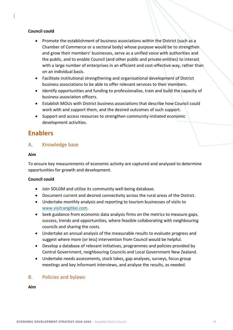#### **Council could**

- Promote the establishment of business associations within the District (such as a Chamber of Commerce or a sectoral body) whose purpose would be to strengthen and grow their members' businesses, serve as a unified voice with authorities and the public, and to enable Council (and other public and private entities) to interact with a large number of enterprises in an efficient and cost-effective way, rather than on an individual basis.
- Facilitate institutional strengthening and organisational development of District business associations to be able to offer relevant services to their members.
- Identify opportunities and funding to professionalise, train and build the capacity of business association officers.
- Establish MOUs with District business associations that describe how Council could work with and support them, and the desired outcomes of such support.
- Support and access resources to strengthen community-initiated economic development activities.

# **Enablers**

## A. Knowledge base

#### **Aim**

To ensure key measurements of economic activity are captured and analysed to determine opportunities for growth and development.

#### **Council could**

- Join SOLGM and utilise its community well-being database.
- Document current and desired connectivity across the rural areas of the District.
- Undertake monthly analysis and reporting to tourism businesses of visits to www.visitrangitkei.com.
- Seek guidance from economic data analysis firms on the metrics to measure gaps, success, trends and opportunities, where feasible collaborating with neighbouring councils and sharing the costs.
- Undertake an annual analysis of the measurable results to evaluate progress and suggest where more (or less) intervention from Council would be helpful.
- Develop a database of relevant initiatives, programmes and policies provided by Central Government, neighbouring Councils and Local Government New Zealand.
- Undertake needs assessments, stock takes, gap analyses, surveys, focus group meetings and key informant interviews, and analyse the results, as needed.

## B. Policies and bylaws

**Aim**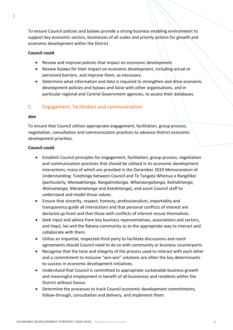To ensure Council policies and bylaws provide a strong business enabling environment to support key economic sectors, businesses of all scales and priority actions for growth and economic development within the District

#### **Council could**

- Review and improve policies that impact on economic development.
- Review bylaws for their impact on economic development, including actual or perceived barriers, and improve them, as necessary.
- Determine what information and data is required to strengthen and drive economic development policies and bylaws and liaise with other organisations, and in particular regional and Central Government agencies, to access their databases.

## C. Engagement, facilitation and communication

#### **Aim**

To ensure that Council utilises appropriate engagement, facilitation, group process, negotiation, consultation and communication practices to advance District economic development priorities.

- Establish Council principles for engagement, facilitation, group process, negotiation and communication practices that should be utilised in its economic development interactions, many of which are provided in the December 2019 Memorandum of Understanding: Tutohinga between Council and Te Tangata Whenua o Rangitīkei (particularly, *Manaakitanga, Rangatiratanga, Whanaungatanga, Kaitiakitanga, Wairuatanga, Maramatanga* and *Kotahitanga*), and assist Council staff to understand and model those values.
- Ensure that sincerity, respect, honesty, professionalism, impartiality and transparency guide all interactions and that personal conflicts of interest are declared up-front and that those with conflicts of interest recuse themselves.
- Seek input and advice from key business representatives, associations and sectors, and Hapū, Iwi and the Ratana community as to the appropriate way to interact and collaborate with them.
- Utilise an impartial, respected third party to facilitate discussions and reach agreements should Council need to do so with community or business counterparts.
- Recognise that the tone and integrity of the process used to interact with each other and a commitment to inclusive "win-win" solutions are often the key determinants to success in economic development initiatives.
- Understand that Council is committed to appropriate sustainable business growth and meaningful employment in benefit of all businesses and residents within the District without favour.
- Determine the processes to track Council economic development commitments, follow-through, consultation and delivery, and implement them.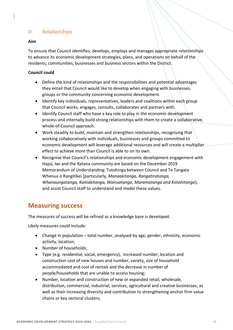## D. Relationships

#### **Aim**

To ensure that Council identifies, develops, employs and manages appropriate relationships to advance its economic development strategies, plans, and operations on behalf of the residents, communities, businesses and business sectors within the District.

#### **Council could**

- Define the kind of relationships and the responsibilities and potential advantages they entail that Council would like to develop when engaging with businesses, groups or the community concerning economic development.
- Identify key individuals, representatives, leaders and coalitions within each group that Council works, engages, consults, collaborates and partners with.
- Identify Council staff who have a key role to play in the economic development process and internally build strong relationships with them to create a collaborative, whole-of-Council approach.
- Work steadily to build, maintain and strengthen relationships, recognising that working collaboratively with individuals, businesses and groups committed to economic development will leverage additional resources and will create a multiplier effect to achieve more than Council is able to on its own.
- Recognise that Council's relationships and economic development engagement with Hapū, Iwi and the Ratana community are based on the December 2019 Memorandum of Understanding: Tutohinga between Council and Te Tangata Whenua o Rangitīkei (particularly, *Manaakitanga, Rangatiratanga, Whanaungatanga, Kaitiakitanga, Wairuatanga, Maramatanga and Kotahitanga*), and assist Council staff to understand and model these values.

## **Measuring success**

The measures of success will be refined as a knowledge base is developed.

Likely measures could include:

- Change in population total number, analysed by age, gender, ethnicity, economic activity, location;
- Number of households;
- Type (e.g. residential, social, emergency), increased number, location and construction cost of new houses and number, variety, size of household accommodated and cost of rentals and the decrease in number of people/households that are unable to access housing;
- Number, location and construction of new or expanded retail, wholesale, distribution, commercial, industrial, services, agricultural and creative businesses, as well as their increasing diversity and contribution to strengthening anchor firm value chains or key sectoral clusters;